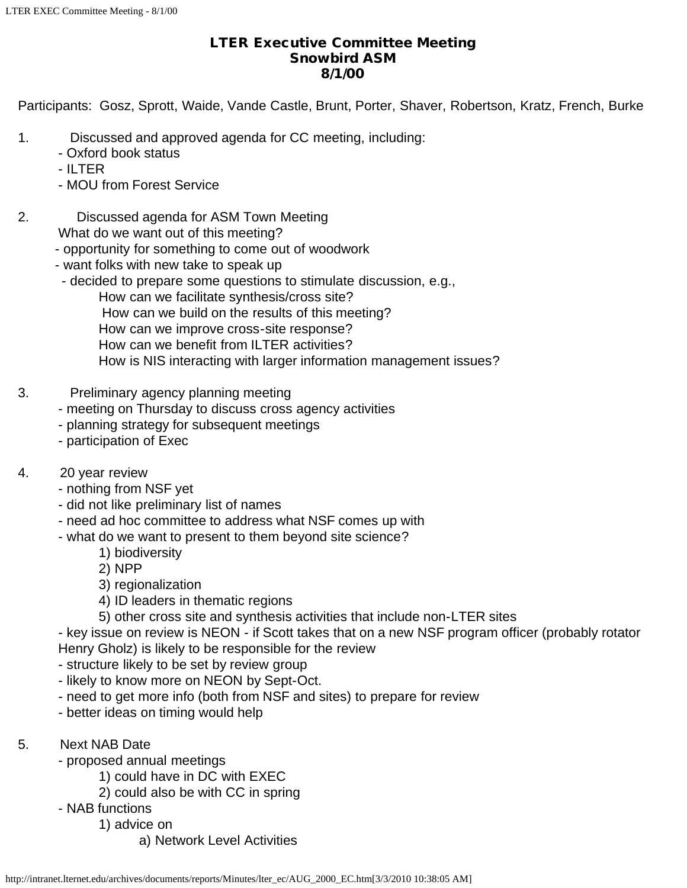## LTER Executive Committee Meeting Snowbird ASM 8/1/00

Participants: Gosz, Sprott, Waide, Vande Castle, Brunt, Porter, Shaver, Robertson, Kratz, French, Burke

- 1. Discussed and approved agenda for CC meeting, including:
	- Oxford book status
	- ILTER
	- MOU from Forest Service
- 2. Discussed agenda for ASM Town Meeting
	- What do we want out of this meeting?
	- opportunity for something to come out of woodwork
	- want folks with new take to speak up
	- decided to prepare some questions to stimulate discussion, e.g.,
		- How can we facilitate synthesis/cross site?
		- How can we build on the results of this meeting?
		- How can we improve cross-site response?
		- How can we benefit from ILTER activities?
		- How is NIS interacting with larger information management issues?
- 3. Preliminary agency planning meeting
	- meeting on Thursday to discuss cross agency activities
	- planning strategy for subsequent meetings
	- participation of Exec
- 4. 20 year review
	- nothing from NSF yet
	- did not like preliminary list of names
	- need ad hoc committee to address what NSF comes up with
	- what do we want to present to them beyond site science?
		- 1) biodiversity
		- 2) NPP
		- 3) regionalization
		- 4) ID leaders in thematic regions
		- 5) other cross site and synthesis activities that include non-LTER sites

- key issue on review is NEON - if Scott takes that on a new NSF program officer (probably rotator Henry Gholz) is likely to be responsible for the review

- structure likely to be set by review group
- likely to know more on NEON by Sept-Oct.
- need to get more info (both from NSF and sites) to prepare for review
- better ideas on timing would help
- 5. Next NAB Date
	- proposed annual meetings
		- 1) could have in DC with EXEC
		- 2) could also be with CC in spring
	- NAB functions
		- 1) advice on
			- a) Network Level Activities